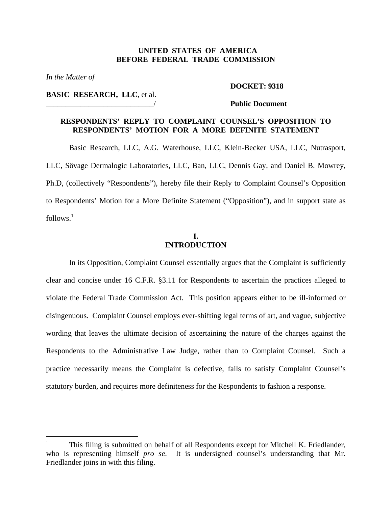## **UNITED STATES OF AMERICA BEFORE FEDERAL TRADE COMMISSION**

*In the Matter of* 

1

#### **DOCKET: 9318**

**BASIC RESEARCH, LLC**, et al.

#### \_\_\_\_\_\_\_\_\_\_\_\_\_\_\_\_\_\_\_\_\_\_\_\_\_\_\_\_/ **Public Document**

# **RESPONDENTS' REPLY TO COMPLAINT COUNSEL'S OPPOSITION TO RESPONDENTS' MOTION FOR A MORE DEFINITE STATEMENT**

Basic Research, LLC, A.G. Waterhouse, LLC, Klein-Becker USA, LLC, Nutrasport, LLC, Sövage Dermalogic Laboratories, LLC, Ban, LLC, Dennis Gay, and Daniel B. Mowrey, Ph.D, (collectively "Respondents"), hereby file their Reply to Complaint Counsel's Opposition to Respondents' Motion for a More Definite Statement ("Opposition"), and in support state as  $follows<sup>1</sup>$  $follows<sup>1</sup>$  $follows<sup>1</sup>$ 

# **I. INTRODUCTION**

In its Opposition, Complaint Counsel essentially argues that the Complaint is sufficiently clear and concise under 16 C.F.R. §3.11 for Respondents to ascertain the practices alleged to violate the Federal Trade Commission Act. This position appears either to be ill-informed or disingenuous. Complaint Counsel employs ever-shifting legal terms of art, and vague, subjective wording that leaves the ultimate decision of ascertaining the nature of the charges against the Respondents to the Administrative Law Judge, rather than to Complaint Counsel. Such a practice necessarily means the Complaint is defective, fails to satisfy Complaint Counsel's statutory burden, and requires more definiteness for the Respondents to fashion a response.

<span id="page-0-0"></span><sup>1</sup> This filing is submitted on behalf of all Respondents except for Mitchell K. Friedlander, who is representing himself *pro se*. It is undersigned counsel's understanding that Mr. Friedlander joins in with this filing.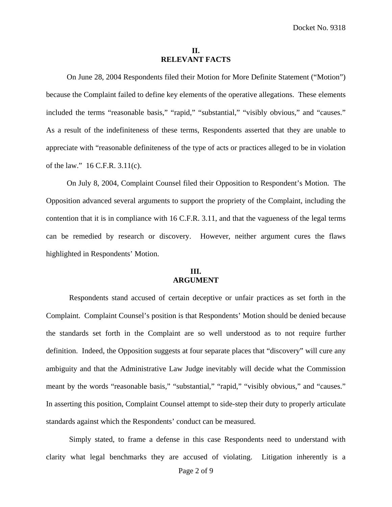## **II. RELEVANT FACTS**

On June 28, 2004 Respondents filed their Motion for More Definite Statement ("Motion") because the Complaint failed to define key elements of the operative allegations. These elements included the terms "reasonable basis," "rapid," "substantial," "visibly obvious," and "causes." As a result of the indefiniteness of these terms, Respondents asserted that they are unable to appreciate with "reasonable definiteness of the type of acts or practices alleged to be in violation of the law." 16 C.F.R. 3.11(c).

On July 8, 2004, Complaint Counsel filed their Opposition to Respondent's Motion. The Opposition advanced several arguments to support the propriety of the Complaint, including the contention that it is in compliance with 16 C.F.R. 3.11, and that the vagueness of the legal terms can be remedied by research or discovery. However, neither argument cures the flaws highlighted in Respondents' Motion.

# **III. ARGUMENT**

Respondents stand accused of certain deceptive or unfair practices as set forth in the Complaint. Complaint Counsel's position is that Respondents' Motion should be denied because the standards set forth in the Complaint are so well understood as to not require further definition. Indeed, the Opposition suggests at four separate places that "discovery" will cure any ambiguity and that the Administrative Law Judge inevitably will decide what the Commission meant by the words "reasonable basis," "substantial," "rapid," "visibly obvious," and "causes." In asserting this position, Complaint Counsel attempt to side-step their duty to properly articulate standards against which the Respondents' conduct can be measured.

Simply stated, to frame a defense in this case Respondents need to understand with clarity what legal benchmarks they are accused of violating. Litigation inherently is a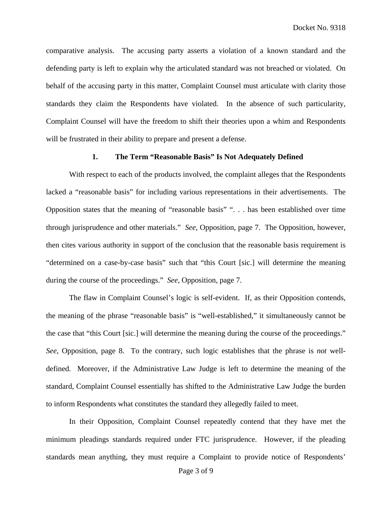comparative analysis. The accusing party asserts a violation of a known standard and the defending party is left to explain why the articulated standard was not breached or violated. On behalf of the accusing party in this matter, Complaint Counsel must articulate with clarity those standards they claim the Respondents have violated. In the absence of such particularity, Complaint Counsel will have the freedom to shift their theories upon a whim and Respondents will be frustrated in their ability to prepare and present a defense.

# **1. The Term "Reasonable Basis" Is Not Adequately Defined**

With respect to each of the products involved, the complaint alleges that the Respondents lacked a "reasonable basis" for including various representations in their advertisements. The Opposition states that the meaning of "reasonable basis" ". . . has been established over time through jurisprudence and other materials." *See*, Opposition, page 7. The Opposition, however, then cites various authority in support of the conclusion that the reasonable basis requirement is "determined on a case-by-case basis" such that "this Court [sic.] will determine the meaning during the course of the proceedings." *See*, Opposition, page 7.

The flaw in Complaint Counsel's logic is self-evident. If, as their Opposition contends, the meaning of the phrase "reasonable basis" is "well-established," it simultaneously cannot be the case that "this Court [sic.] will determine the meaning during the course of the proceedings." *See*, Opposition, page 8. To the contrary, such logic establishes that the phrase is *not* welldefined. Moreover, if the Administrative Law Judge is left to determine the meaning of the standard, Complaint Counsel essentially has shifted to the Administrative Law Judge the burden to inform Respondents what constitutes the standard they allegedly failed to meet.

In their Opposition, Complaint Counsel repeatedly contend that they have met the minimum pleadings standards required under FTC jurisprudence. However, if the pleading standards mean anything, they must require a Complaint to provide notice of Respondents'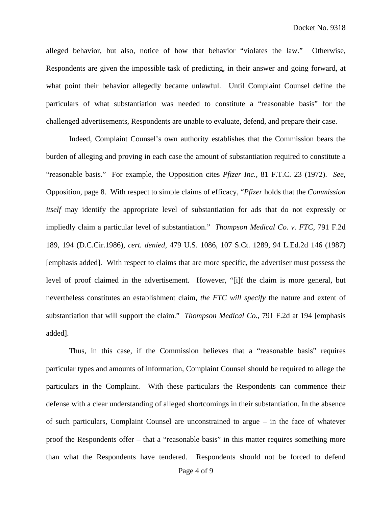alleged behavior, but also, notice of how that behavior "violates the law." Otherwise, Respondents are given the impossible task of predicting, in their answer and going forward, at what point their behavior allegedly became unlawful. Until Complaint Counsel define the particulars of what substantiation was needed to constitute a "reasonable basis" for the challenged advertisements, Respondents are unable to evaluate, defend, and prepare their case.

Indeed, Complaint Counsel's own authority establishes that the Commission bears the burden of alleging and proving in each case the amount of substantiation required to constitute a "reasonable basis." For example, the Opposition cites *Pfizer Inc.,* 81 F.T.C. 23 (1972). *See*, Opposition, page 8. With respect to simple claims of efficacy, "*Pfizer* holds that the *Commission itself* may identify the appropriate level of substantiation for ads that do not expressly or impliedly claim a particular level of substantiation." *Thompson Medical Co. v. FTC,* 791 F.2d 189, 194 (D.C.Cir.1986), *cert. denied,* 479 U.S. 1086, 107 S.Ct. 1289, 94 L.Ed.2d 146 (1987) [emphasis added]. With respect to claims that are more specific, the advertiser must possess the level of proof claimed in the advertisement. However, "[i]f the claim is more general, but nevertheless constitutes an establishment claim, *the FTC will specify* the nature and extent of substantiation that will support the claim." *Thompson Medical Co.,* 791 F.2d at 194 [emphasis added].

Thus, in this case, if the Commission believes that a "reasonable basis" requires particular types and amounts of information, Complaint Counsel should be required to allege the particulars in the Complaint. With these particulars the Respondents can commence their defense with a clear understanding of alleged shortcomings in their substantiation. In the absence of such particulars, Complaint Counsel are unconstrained to argue – in the face of whatever proof the Respondents offer – that a "reasonable basis" in this matter requires something more than what the Respondents have tendered. Respondents should not be forced to defend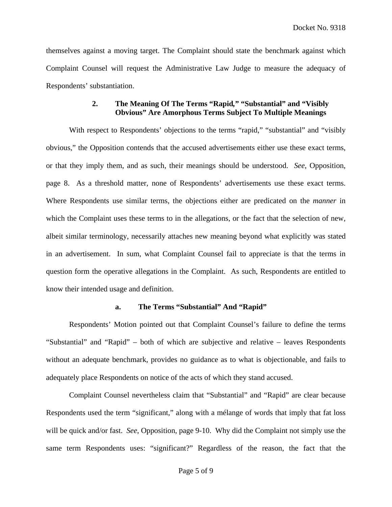themselves against a moving target. The Complaint should state the benchmark against which Complaint Counsel will request the Administrative Law Judge to measure the adequacy of Respondents' substantiation.

# **2. The Meaning Of The Terms "Rapid***,***" "Substantial" and "Visibly Obvious" Are Amorphous Terms Subject To Multiple Meanings**

With respect to Respondents' objections to the terms "rapid," "substantial" and "visibly obvious," the Opposition contends that the accused advertisements either use these exact terms, or that they imply them, and as such, their meanings should be understood. *See*, Opposition, page 8. As a threshold matter, none of Respondents' advertisements use these exact terms. Where Respondents use similar terms, the objections either are predicated on the *manner* in which the Complaint uses these terms to in the allegations, or the fact that the selection of new, albeit similar terminology, necessarily attaches new meaning beyond what explicitly was stated in an advertisement. In sum, what Complaint Counsel fail to appreciate is that the terms in question form the operative allegations in the Complaint. As such, Respondents are entitled to know their intended usage and definition.

# **a. The Terms "Substantial" And "Rapid"**

Respondents' Motion pointed out that Complaint Counsel's failure to define the terms "Substantial" and "Rapid" – both of which are subjective and relative – leaves Respondents without an adequate benchmark, provides no guidance as to what is objectionable, and fails to adequately place Respondents on notice of the acts of which they stand accused.

Complaint Counsel nevertheless claim that "Substantial" and "Rapid" are clear because Respondents used the term "significant," along with a mélange of words that imply that fat loss will be quick and/or fast. *See*, Opposition, page 9-10. Why did the Complaint not simply use the same term Respondents uses: "significant?" Regardless of the reason, the fact that the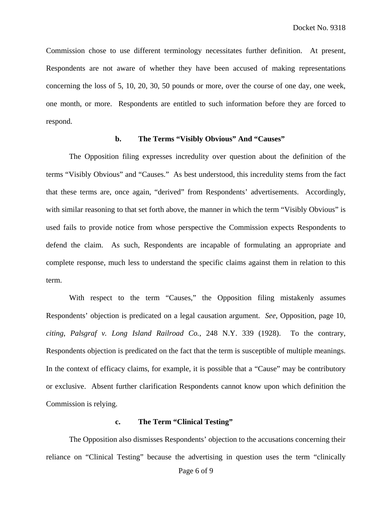Commission chose to use different terminology necessitates further definition. At present, Respondents are not aware of whether they have been accused of making representations concerning the loss of 5, 10, 20, 30, 50 pounds or more, over the course of one day, one week, one month, or more. Respondents are entitled to such information before they are forced to respond.

# **b. The Terms "Visibly Obvious" And "Causes"**

The Opposition filing expresses incredulity over question about the definition of the terms "Visibly Obvious" and "Causes." As best understood, this incredulity stems from the fact that these terms are, once again, "derived" from Respondents' advertisements. Accordingly, with similar reasoning to that set forth above, the manner in which the term "Visibly Obvious" is used fails to provide notice from whose perspective the Commission expects Respondents to defend the claim. As such, Respondents are incapable of formulating an appropriate and complete response, much less to understand the specific claims against them in relation to this term.

With respect to the term "Causes," the Opposition filing mistakenly assumes Respondents' objection is predicated on a legal causation argument. *See*, Opposition, page 10, *citing*, *Palsgraf v. Long Island Railroad Co.*, 248 N.Y. 339 (1928). To the contrary, Respondents objection is predicated on the fact that the term is susceptible of multiple meanings. In the context of efficacy claims, for example, it is possible that a "Cause" may be contributory or exclusive. Absent further clarification Respondents cannot know upon which definition the Commission is relying.

### **c. The Term "Clinical Testing"**

The Opposition also dismisses Respondents' objection to the accusations concerning their reliance on "Clinical Testing" because the advertising in question uses the term "clinically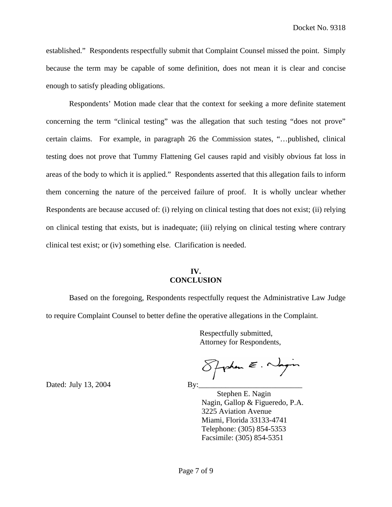established." Respondents respectfully submit that Complaint Counsel missed the point. Simply because the term may be capable of some definition, does not mean it is clear and concise enough to satisfy pleading obligations.

Respondents' Motion made clear that the context for seeking a more definite statement concerning the term "clinical testing" was the allegation that such testing "does not prove" certain claims. For example, in paragraph 26 the Commission states, "…published, clinical testing does not prove that Tummy Flattening Gel causes rapid and visibly obvious fat loss in areas of the body to which it is applied." Respondents asserted that this allegation fails to inform them concerning the nature of the perceived failure of proof. It is wholly unclear whether Respondents are because accused of: (i) relying on clinical testing that does not exist; (ii) relying on clinical testing that exists, but is inadequate; (iii) relying on clinical testing where contrary clinical test exist; or (iv) something else. Clarification is needed.

## **IV. CONCLUSION**

Based on the foregoing, Respondents respectfully request the Administrative Law Judge to require Complaint Counsel to better define the operative allegations in the Complaint.

> Respectfully submitted, Attorney for Respondents,

 $8$ phan  $\epsilon$ . Nagin

 Stephen E. Nagin Nagin, Gallop & Figueredo, P.A. 3225 Aviation Avenue Miami, Florida 33133-4741 Telephone: (305) 854-5353 Facsimile: (305) 854-5351

Dated: July 13, 2004  $\qquad \qquad \text{By:}$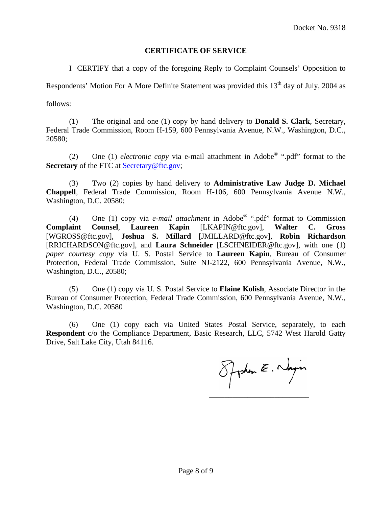# **CERTIFICATE OF SERVICE**

I CERTIFY that a copy of the foregoing Reply to Complaint Counsels' Opposition to

Respondents' Motion For A More Definite Statement was provided this 13<sup>th</sup> day of July, 2004 as

follows:

(1) The original and one (1) copy by hand delivery to **Donald S. Clark**, Secretary, Federal Trade Commission, Room H-159, 600 Pennsylvania Avenue, N.W., Washington, D.C., 20580;

(2) One (1) *electronic copy* via e-mail attachment in Adobe® ".pdf" format to the **Secretary** of the FTC at **Secretary** @ftc.gov;

(3) Two (2) copies by hand delivery to **Administrative Law Judge D. Michael Chappell**, Federal Trade Commission, Room H-106, 600 Pennsylvania Avenue N.W., Washington, D.C. 20580;

(4) One (1) copy via *e-mail attachment* in Adobe® ".pdf" format to Commission **Complaint Counsel**, **Laureen Kapin** [LKAPIN@ftc.gov], **Walter C. Gross** [WGROSS@ftc.gov], **Joshua S. Millard** [JMILLARD@ftc.gov], **Robin Richardson**  [RRICHARDSON@ftc.gov], and **Laura Schneider** [LSCHNEIDER@ftc.gov], with one (1) *paper courtesy copy* via U. S. Postal Service to **Laureen Kapin**, Bureau of Consumer Protection, Federal Trade Commission, Suite NJ-2122, 600 Pennsylvania Avenue, N.W., Washington, D.C., 20580;

(5) One (1) copy via U. S. Postal Service to **Elaine Kolish**, Associate Director in the Bureau of Consumer Protection, Federal Trade Commission, 600 Pennsylvania Avenue, N.W., Washington, D.C. 20580

(6) One (1) copy each via United States Postal Service, separately, to each **Respondent** c/o the Compliance Department, Basic Research, LLC, 5742 West Harold Gatty Drive, Salt Lake City, Utah 84116.

Spoken E. Nagin  **\_\_\_\_\_\_\_\_\_\_\_\_\_\_\_\_\_\_\_\_\_\_\_\_\_\_**